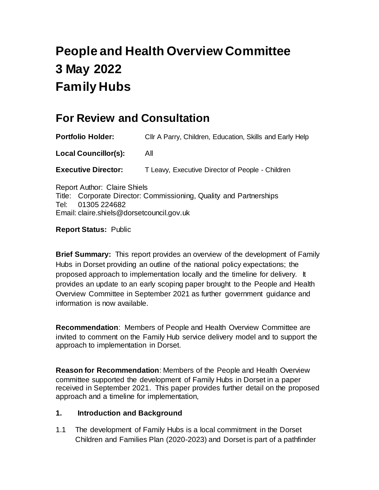# **People and Health Overview Committee 3 May 2022 Family Hubs**

# **For Review and Consultation**

<span id="page-0-0"></span>**Portfolio Holder:** Cllr A Parry, Children, Education, Skills and Early Help **[Local](#page-0-0) Councillor(s):** All **Executive Director:** T Leavy, Executive Director of People - Children

Report Author: Claire Shiels Title: Corporate Director: Commissioning, Quality and Partnerships Tel: 01305 224682 Email: claire.shiels@dorsetcouncil.gov.uk

**Report Status:** Public

<span id="page-0-1"></span>**[Brief](#page-0-1) Summary:** This report provides an overview of the development of Family Hubs in Dorset providing an outline of the national policy expectations; the proposed approach to implementation locally and the timeline for delivery. It provides an update to an early scoping paper brought to the People and Health Overview Committee in September 2021 as further government guidance and information is now available.

**[Recommendation](#page-0-1)**: Members of People and Health Overview Committee are invited to comment on the Family Hub service delivery model and to support the approach to implementation in Dorset.

<span id="page-0-2"></span>**[Reason](#page-0-2) for Recommendation**: Members of the People and Health Overview committee supported the development of Family Hubs in Dorset in a paper received in September 2021. This paper provides further detail on the proposed approach and a timeline for implementation,

#### **1. Introduction and Background**

1.1 The development of Family Hubs is a local commitment in the Dorset Children and Families Plan (2020-2023) and Dorset is part of a pathfinder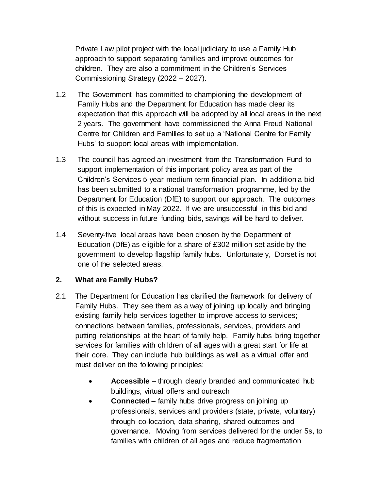Private Law pilot project with the local judiciary to use a Family Hub approach to support separating families and improve outcomes for children. They are also a commitment in the Children's Services Commissioning Strategy (2022 – 2027).

- 1.2 The Government has committed to championing the development of Family Hubs and the Department for Education has made clear its expectation that this approach will be adopted by all local areas in the next 2 years. The government have commissioned the Anna Freud National Centre for Children and Families to set up a 'National Centre for Family Hubs' to support local areas with implementation.
- 1.3 The council has agreed an investment from the Transformation Fund to support implementation of this important policy area as part of the Children's Services 5-year medium term financial plan. In addition a bid has been submitted to a national transformation programme, led by the Department for Education (DfE) to support our approach. The outcomes of this is expected in May 2022. If we are unsuccessful in this bid and without success in future funding bids, savings will be hard to deliver.
- 1.4 Seventy-five local areas have been chosen by the Department of Education (DfE) as eligible for a share of £302 million set aside by the government to develop flagship family hubs. Unfortunately, Dorset is not one of the selected areas.

# **2. What are Family Hubs?**

- 2.1 The Department for Education has clarified the framework for delivery of Family Hubs. They see them as a way of joining up locally and bringing existing family help services together to improve access to services; connections between families, professionals, services, providers and putting relationships at the heart of family help. Family hubs bring together services for families with children of all ages with a great start for life at their core. They can include hub buildings as well as a virtual offer and must deliver on the following principles:
	- **Accessible** through clearly branded and communicated hub buildings, virtual offers and outreach
	- **Connected** family hubs drive progress on joining up professionals, services and providers (state, private, voluntary) through co-location, data sharing, shared outcomes and governance. Moving from services delivered for the under 5s, to families with children of all ages and reduce fragmentation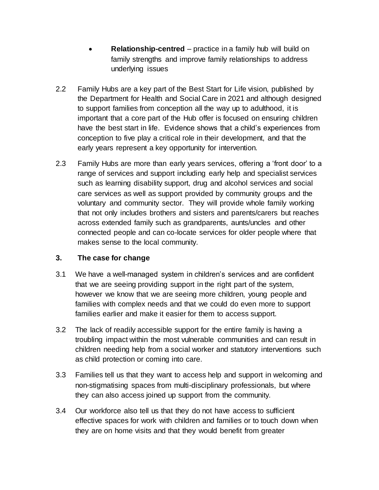- **Relationship-centred** practice in a family hub will build on family strengths and improve family relationships to address underlying issues
- 2.2 Family Hubs are a key part of the Best Start for Life vision, published by the Department for Health and Social Care in 2021 and although designed to support families from conception all the way up to adulthood, it is important that a core part of the Hub offer is focused on ensuring children have the best start in life. Evidence shows that a child's experiences from conception to five play a critical role in their development, and that the early years represent a key opportunity for intervention.
- 2.3 Family Hubs are more than early years services, offering a 'front door' to a range of services and support including early help and specialist services such as learning disability support, drug and alcohol services and social care services as well as support provided by community groups and the voluntary and community sector. They will provide whole family working that not only includes brothers and sisters and parents/carers but reaches across extended family such as grandparents, aunts/uncles and other connected people and can co-locate services for older people where that makes sense to the local community.

# **3. The case for change**

- 3.1 We have a well-managed system in children's services and are confident that we are seeing providing support in the right part of the system, however we know that we are seeing more children, young people and families with complex needs and that we could do even more to support families earlier and make it easier for them to access support.
- 3.2 The lack of readily accessible support for the entire family is having a troubling impact within the most vulnerable communities and can result in children needing help from a social worker and statutory interventions such as child protection or coming into care.
- 3.3 Families tell us that they want to access help and support in welcoming and non-stigmatising spaces from multi-disciplinary professionals, but where they can also access joined up support from the community.
- 3.4 Our workforce also tell us that they do not have access to sufficient effective spaces for work with children and families or to touch down when they are on home visits and that they would benefit from greater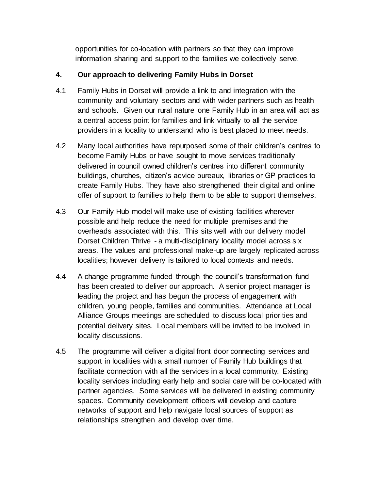opportunities for co-location with partners so that they can improve information sharing and support to the families we collectively serve.

# **4. Our approach to delivering Family Hubs in Dorset**

- 4.1 Family Hubs in Dorset will provide a link to and integration with the community and voluntary sectors and with wider partners such as health and schools. Given our rural nature one Family Hub in an area will act as a central access point for families and link virtually to all the service providers in a locality to understand who is best placed to meet needs.
- 4.2 Many local authorities have repurposed some of their children's centres to become Family Hubs or have sought to move services traditionally delivered in council owned children's centres into different community buildings, churches, citizen's advice bureaux, libraries or GP practices to create Family Hubs. They have also strengthened their digital and online offer of support to families to help them to be able to support themselves.
- 4.3 Our Family Hub model will make use of existing facilities wherever possible and help reduce the need for multiple premises and the overheads associated with this. This sits well with our delivery model Dorset Children Thrive - a multi-disciplinary locality model across six areas. The values and professional make-up are largely replicated across localities; however delivery is tailored to local contexts and needs.
- <span id="page-3-0"></span>4.4 A change programme funded through the council's transformation fund has been created to deliver our approach. A senior project manager is leading the project and has begun the process of engagement with children, young people, families and communities. Attendance at Local Alliance Groups meetings are scheduled to discuss local priorities and potential delivery sites. Local members will be invited to be involved in locality discussions.
- 4.5 The programme will deliver a digital front door connecting services and support in localities with a small number of Family Hub buildings that facilitate connection with all the services in a local community. Existing locality services including early help and social care will be co-located with partner agencies. Some services will be delivered in existing community spaces. Community development officers will develop and capture networks of support and help navigate local sources of support as relationships strengthen and develop over time.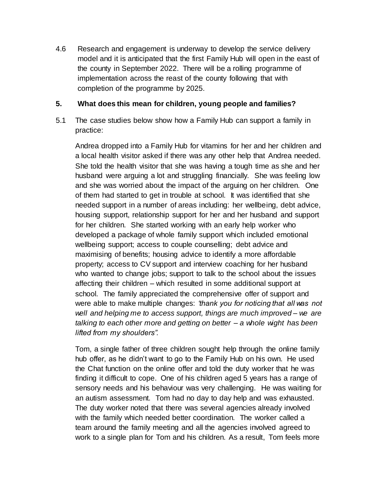4.6 Research and engagement is underway to develop the service delivery model and it is anticipated that the first Family Hub will open in the east of the county in September 2022. There will be a rolling programme of implementation across the reast of the county following that with completion of the programme by 2025.

#### **5. What does this mean for children, young people and families?**

5.1 The case studies below show how a Family Hub can support a family in practice:

Andrea dropped into a Family Hub for vitamins for her and her children and a local health visitor asked if there was any other help that Andrea needed. She told the health visitor that she was having a tough time as she and her husband were arguing a lot and struggling financially. She was feeling low and she was worried about the impact of the arguing on her children. One of them had started to get in trouble at school. It was identified that she needed support in a number of areas including: her wellbeing, debt advice, housing support, relationship support for her and her husband and support for her children. She started working with an early help worker who developed a package of whole family support which included emotional wellbeing support; access to couple counselling; debt advice and maximising of benefits; housing advice to identify a more affordable property; access to CV support and interview coaching for her husband who wanted to change jobs; support to talk to the school about the issues affecting their children – which resulted in some additional support at school. The family appreciated the comprehensive offer of support and were able to make multiple changes: *'thank you for noticing that all was not well and helping me to access support, things are much improved – we are talking to each other more and getting on better – a whole wight has been lifted from my shoulders".*

Tom, a single father of three children sought help through the online family hub offer, as he didn't want to go to the Family Hub on his own. He used the Chat function on the online offer and told the duty worker that he was finding it difficult to cope. One of his children aged 5 years has a range of sensory needs and his behaviour was very challenging. He was waiting for an autism assessment. Tom had no day to day help and was exhausted. The duty worker noted that there was several agencies already involved with the family which needed better coordination. The worker called a team around the family meeting and all the agencies involved agreed to work to a single plan for Tom and his children. As a result, Tom feels more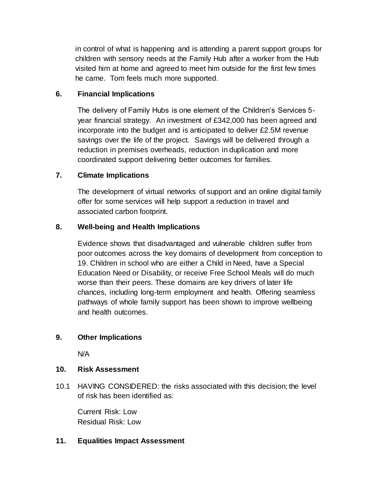in control of what is happening and is attending a parent support groups for children with sensory needs at the Family Hub after a worker from the Hub visited him at home and agreed to meet him outside for the first few times he came. Tom feels much more supported.

# **6. [Financial](#page-3-0) Implications**

<span id="page-5-1"></span>The delivery of Family Hubs is one element of the Children's Services 5 year financial strategy. An investment of £342,000 has been agreed and incorporate into the budget and is anticipated to deliver £2.5M revenue savings over the life of the project. Savings will be delivered through a reduction in premises overheads, reduction in duplication and more coordinated support delivering better outcomes for families.

# **7. [Climate](#page-5-0) Implications**

The development of virtual networks of support and an online digital family offer for some services will help support a reduction in travel and associated carbon footprint.

# **8. [Well-being](#page-5-1) and Health Implications**

<span id="page-5-0"></span>Evidence shows that disadvantaged and vulnerable children suffer from poor outcomes across the key domains of development from conception to 19. Children in school who are either a Child in Need, have a Special Education Need or Disability, or receive Free School Meals will do much worse than their peers. These domains are key drivers of later life chances, including long-term employment and health. Offering seamless pathways of whole family support has been shown to improve wellbeing and health outcomes.

# <span id="page-5-2"></span>**9. [Other](#page-5-2) Implications**

<span id="page-5-3"></span>N/A

# **10. [Risk](#page-5-3) Assessment**

10.1 HAVING CONSIDERED: the risks associated with this decision; the level of risk has been identified as:

<span id="page-5-4"></span>Current Risk: Low Residual Risk: Low

# **11. [Equalities](https://dorsetcc-my.sharepoint.com/personal/kate_critchel_dorsetcouncil_gov_uk/Documents/New%20folder%20(2)/There#Equalities) Impact Assessment**